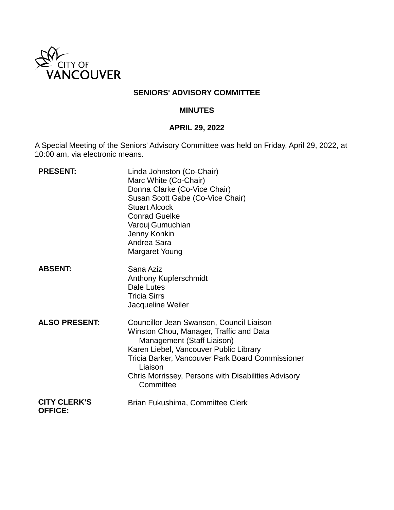

## **SENIORS' ADVISORY COMMITTEE**

#### **MINUTES**

# **APRIL 29, 2022**

A Special Meeting of the Seniors' Advisory Committee was held on Friday, April 29, 2022, at 10:00 am, via electronic means.

| <b>PRESENT:</b>                       | Linda Johnston (Co-Chair)<br>Marc White (Co-Chair)<br>Donna Clarke (Co-Vice Chair)<br>Susan Scott Gabe (Co-Vice Chair)<br><b>Stuart Alcock</b><br><b>Conrad Guelke</b><br>Varouj Gumuchian<br>Jenny Konkin<br>Andrea Sara<br><b>Margaret Young</b>                                             |
|---------------------------------------|------------------------------------------------------------------------------------------------------------------------------------------------------------------------------------------------------------------------------------------------------------------------------------------------|
| <b>ABSENT:</b>                        | Sana Aziz<br>Anthony Kupferschmidt<br>Dale Lutes<br><b>Tricia Sirrs</b><br>Jacqueline Weiler                                                                                                                                                                                                   |
| <b>ALSO PRESENT:</b>                  | Councillor Jean Swanson, Council Liaison<br>Winston Chou, Manager, Traffic and Data<br>Management (Staff Liaison)<br>Karen Liebel, Vancouver Public Library<br>Tricia Barker, Vancouver Park Board Commissioner<br>Liaison<br>Chris Morrissey, Persons with Disabilities Advisory<br>Committee |
| <b>CITY CLERK'S</b><br><b>OFFICE:</b> | Brian Fukushima, Committee Clerk                                                                                                                                                                                                                                                               |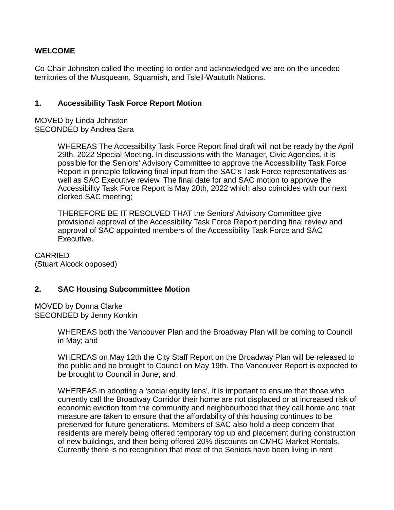## **WELCOME**

Co-Chair Johnston called the meeting to order and acknowledged we are on the unceded territories of the Musqueam, Squamish, and Tsleil-Waututh Nations.

### **1. Accessibility Task Force Report Motion**

MOVED by Linda Johnston SECONDED by Andrea Sara

> WHEREAS The Accessibility Task Force Report final draft will not be ready by the April 29th, 2022 Special Meeting. In discussions with the Manager, Civic Agencies, it is possible for the Seniors' Advisory Committee to approve the Accessibility Task Force Report in principle following final input from the SAC's Task Force representatives as well as SAC Executive review. The final date for and SAC motion to approve the Accessibility Task Force Report is May 20th, 2022 which also coincides with our next clerked SAC meeting;

THEREFORE BE IT RESOLVED THAT the Seniors' Advisory Committee give provisional approval of the Accessibility Task Force Report pending final review and approval of SAC appointed members of the Accessibility Task Force and SAC Executive.

CARRIED (Stuart Alcock opposed)

### **2. SAC Housing Subcommittee Motion**

MOVED by Donna Clarke SECONDED by Jenny Konkin

> WHEREAS both the Vancouver Plan and the Broadway Plan will be coming to Council in May; and

WHEREAS on May 12th the City Staff Report on the Broadway Plan will be released to the public and be brought to Council on May 19th. The Vancouver Report is expected to be brought to Council in June; and

WHEREAS in adopting a 'social equity lens', it is important to ensure that those who currently call the Broadway Corridor their home are not displaced or at increased risk of economic eviction from the community and neighbourhood that they call home and that measure are taken to ensure that the affordability of this housing continues to be preserved for future generations. Members of SAC also hold a deep concern that residents are merely being offered temporary top up and placement during construction of new buildings, and then being offered 20% discounts on CMHC Market Rentals. Currently there is no recognition that most of the Seniors have been living in rent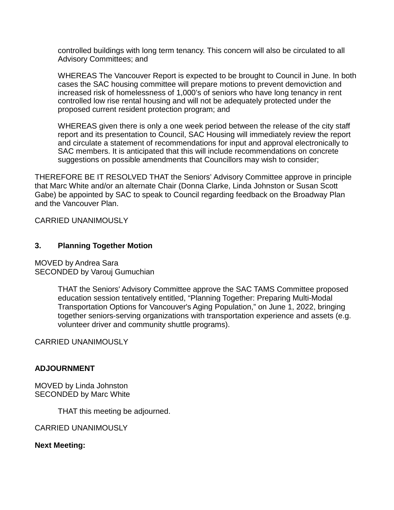controlled buildings with long term tenancy. This concern will also be circulated to all Advisory Committees; and

WHEREAS The Vancouver Report is expected to be brought to Council in June. In both cases the SAC housing committee will prepare motions to prevent demoviction and increased risk of homelessness of 1,000's of seniors who have long tenancy in rent controlled low rise rental housing and will not be adequately protected under the proposed current resident protection program; and

WHEREAS given there is only a one week period between the release of the city staff report and its presentation to Council, SAC Housing will immediately review the report and circulate a statement of recommendations for input and approval electronically to SAC members. It is anticipated that this will include recommendations on concrete suggestions on possible amendments that Councillors may wish to consider;

THEREFORE BE IT RESOLVED THAT the Seniors' Advisory Committee approve in principle that Marc White and/or an alternate Chair (Donna Clarke, Linda Johnston or Susan Scott Gabe) be appointed by SAC to speak to Council regarding feedback on the Broadway Plan and the Vancouver Plan.

CARRIED UNANIMOUSLY

# **3. Planning Together Motion**

MOVED by Andrea Sara SECONDED by Varouj Gumuchian

> THAT the Seniors' Advisory Committee approve the SAC TAMS Committee proposed education session tentatively entitled, "Planning Together: Preparing Multi-Modal Transportation Options for Vancouver's Aging Population," on June 1, 2022, bringing together seniors-serving organizations with transportation experience and assets (e.g. volunteer driver and community shuttle programs).

CARRIED UNANIMOUSLY

### **ADJOURNMENT**

MOVED by Linda Johnston SECONDED by Marc White

THAT this meeting be adjourned.

CARRIED UNANIMOUSLY

**Next Meeting:**